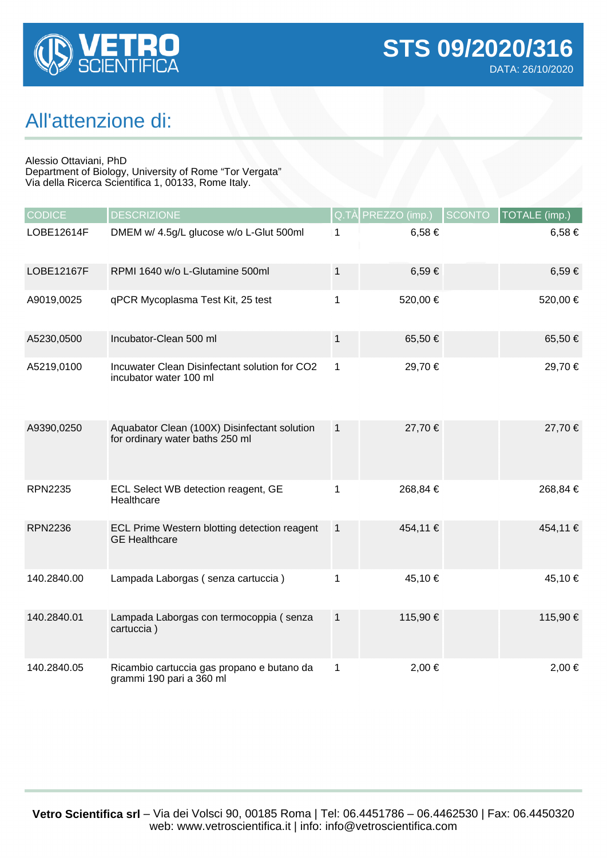

## All'attenzione di:

Alessio Ottaviani, PhD

Department of Biology, University of Rome "Tor Vergata" Via della Ricerca Scientifica 1, 00133, Rome Italy.

| <b>CODICE</b>  | <b>DESCRIZIONE</b>                                                              |              | Q.TÀ PREZZO (imp.) | <b>SCONTO</b> | TOTALE (imp.) |
|----------------|---------------------------------------------------------------------------------|--------------|--------------------|---------------|---------------|
| LOBE12614F     | DMEM w/ 4.5g/L glucose w/o L-Glut 500ml                                         | 1            | 6,58€              |               | $6,58 \in$    |
| LOBE12167F     | RPMI 1640 w/o L-Glutamine 500ml                                                 | 1            | 6,59€              |               | $6,59 \in$    |
| A9019,0025     | qPCR Mycoplasma Test Kit, 25 test                                               | 1            | 520,00 €           |               | 520,00 €      |
| A5230,0500     | Incubator-Clean 500 ml                                                          | $\mathbf{1}$ | 65,50€             |               | 65,50 €       |
| A5219,0100     | Incuwater Clean Disinfectant solution for CO2<br>incubator water 100 ml         | 1            | 29,70 €            |               | 29,70 €       |
| A9390,0250     | Aquabator Clean (100X) Disinfectant solution<br>for ordinary water baths 250 ml | $\mathbf{1}$ | 27,70 €            |               | 27,70 €       |
| <b>RPN2235</b> | ECL Select WB detection reagent, GE<br>Healthcare                               | 1            | 268,84 €           |               | 268,84 €      |
| <b>RPN2236</b> | ECL Prime Western blotting detection reagent<br><b>GE Healthcare</b>            | $\mathbf{1}$ | 454,11 €           |               | 454,11 €      |
| 140.2840.00    | Lampada Laborgas (senza cartuccia)                                              | 1            | 45,10 €            |               | 45,10 €       |
| 140.2840.01    | Lampada Laborgas con termocoppia (senza<br>cartuccia)                           | $\mathbf 1$  | 115,90 €           |               | 115,90 €      |
| 140.2840.05    | Ricambio cartuccia gas propano e butano da<br>grammi 190 pari a 360 ml          | 1            | 2,00 €             |               | $2,00 \in$    |